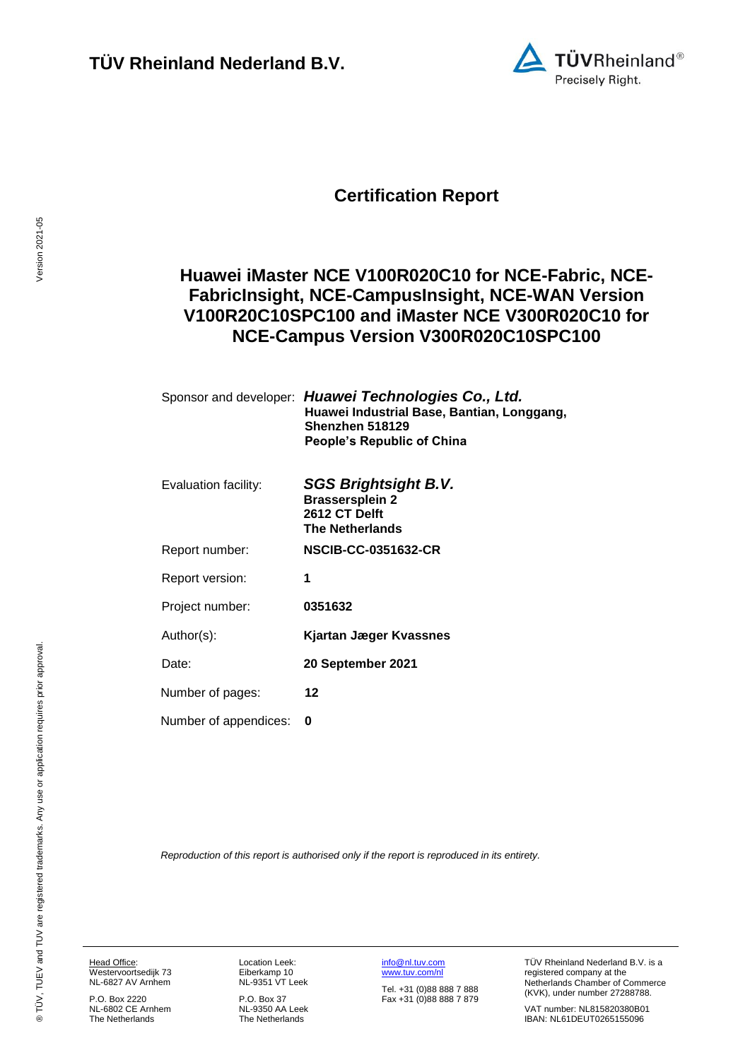

# **Certification Report**

## <span id="page-0-3"></span>**Huawei iMaster NCE V100R020C10 for NCE-Fabric, NCE-FabricInsight, NCE-CampusInsight, NCE-WAN Version V100R20C10SPC100 and iMaster NCE V300R020C10 for NCE-Campus Version V300R020C10SPC100**

<span id="page-0-4"></span><span id="page-0-1"></span><span id="page-0-0"></span>

|                       | Sponsor and developer: Huawei Technologies Co., Ltd.<br>Huawei Industrial Base, Bantian, Longgang,<br>Shenzhen 518129<br>People's Republic of China |
|-----------------------|-----------------------------------------------------------------------------------------------------------------------------------------------------|
| Evaluation facility:  | SGS Brightsight B.V.<br><b>Brassersplein 2</b><br>2612 CT Delft<br><b>The Netherlands</b>                                                           |
| Report number:        | <b>NSCIB-CC-0351632-CR</b>                                                                                                                          |
| Report version:       | 1                                                                                                                                                   |
| Project number:       | 0351632                                                                                                                                             |
| Author(s):            | Kjartan Jæger Kvassnes                                                                                                                              |
| Date:                 | 20 September 2021                                                                                                                                   |
| Number of pages:      | 12                                                                                                                                                  |
| Number of appendices: | 0                                                                                                                                                   |

<span id="page-0-2"></span>*Reproduction of this report is authorised only if the report is reproduced in its entirety.*

Head Office: Westervoortsedijk 73 NL-6827 AV Arnhem

P.O. Box 2220 NL-6802 CE Arnhem The Netherlands

Location Leek: Eiberkamp 10 NL-9351 VT Leek

P.O. Box 37 NL-9350 AA Leek The Netherlands

[info@nl.tuv.com](mailto:info@nl.tuv.com) [www.tuv.com/nl](http://www.tuv.com/nl)

Tel. +31 (0)88 888 7 888 Fax +31 (0)88 888 7 879 TÜV Rheinland Nederland B.V. is a registered company at the Netherlands Chamber of Commerce (KVK), under number 27288788.

VAT number: NL815820380B01 IBAN: NL61DEUT0265155096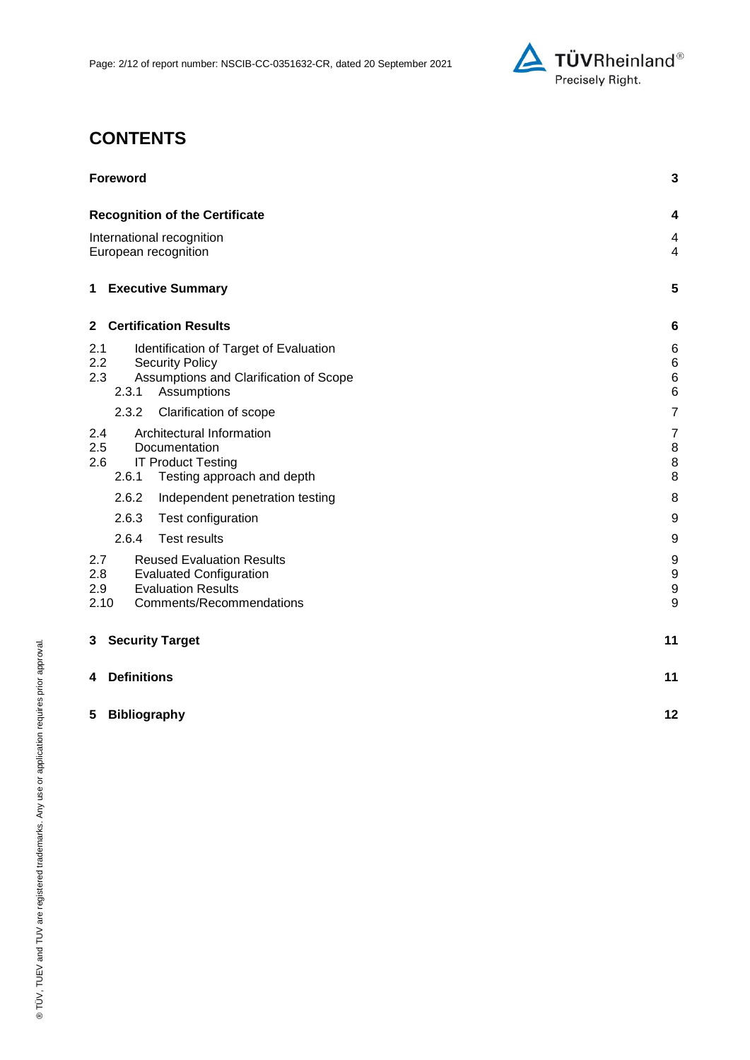

# **CONTENTS**

| <b>Foreword</b>                                                                                                                                          | 3                                         |
|----------------------------------------------------------------------------------------------------------------------------------------------------------|-------------------------------------------|
| <b>Recognition of the Certificate</b>                                                                                                                    | 4                                         |
| International recognition<br>European recognition                                                                                                        | 4<br>$\overline{4}$                       |
| <b>Executive Summary</b><br>1                                                                                                                            | 5                                         |
| <b>Certification Results</b><br>$\mathbf{2}$                                                                                                             | $6\phantom{1}6$                           |
| 2.1<br>Identification of Target of Evaluation<br>2.2<br><b>Security Policy</b><br>2.3<br>Assumptions and Clarification of Scope<br>2.3.1<br>Assumptions  | 6<br>$\,6$<br>$\,6$<br>$6\phantom{1}6$    |
| 2.3.2<br>Clarification of scope                                                                                                                          | $\overline{7}$                            |
| Architectural Information<br>2.4<br>2.5<br>Documentation<br>2.6<br><b>IT Product Testing</b><br>2.6.1<br>Testing approach and depth                      | $\overline{7}$<br>8<br>$\,8\,$<br>$\bf 8$ |
| 2.6.2<br>Independent penetration testing                                                                                                                 | 8                                         |
| 2.6.3<br>Test configuration                                                                                                                              | $\boldsymbol{9}$                          |
| 2.6.4<br><b>Test results</b>                                                                                                                             | $\boldsymbol{9}$                          |
| 2.7<br><b>Reused Evaluation Results</b><br>2.8<br><b>Evaluated Configuration</b><br><b>Evaluation Results</b><br>2.9<br>2.10<br>Comments/Recommendations | 9<br>9<br>$\boldsymbol{9}$<br>9           |
| <b>Security Target</b><br>3                                                                                                                              | 11                                        |
| <b>Definitions</b><br>4                                                                                                                                  | 11                                        |
| 5<br><b>Bibliography</b>                                                                                                                                 | 12                                        |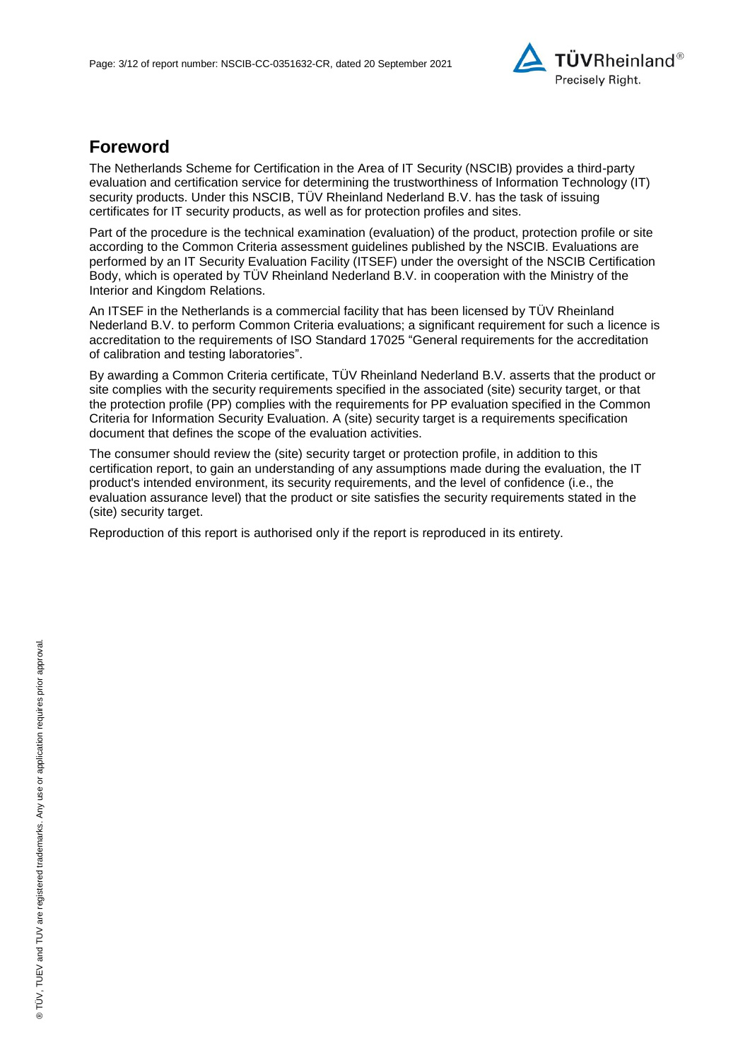

## **Foreword**

The Netherlands Scheme for Certification in the Area of IT Security (NSCIB) provides a third-party evaluation and certification service for determining the trustworthiness of Information Technology (IT) security products. Under this NSCIB, TÜV Rheinland Nederland B.V. has the task of issuing certificates for IT security products, as well as for protection profiles and sites.

Part of the procedure is the technical examination (evaluation) of the product, protection profile or site according to the Common Criteria assessment guidelines published by the NSCIB. Evaluations are performed by an IT Security Evaluation Facility (ITSEF) under the oversight of the NSCIB Certification Body, which is operated by TÜV Rheinland Nederland B.V. in cooperation with the Ministry of the Interior and Kingdom Relations.

An ITSEF in the Netherlands is a commercial facility that has been licensed by TÜV Rheinland Nederland B.V. to perform Common Criteria evaluations; a significant requirement for such a licence is accreditation to the requirements of ISO Standard 17025 "General requirements for the accreditation of calibration and testing laboratories".

By awarding a Common Criteria certificate, TÜV Rheinland Nederland B.V. asserts that the product or site complies with the security requirements specified in the associated (site) security target, or that the protection profile (PP) complies with the requirements for PP evaluation specified in the Common Criteria for Information Security Evaluation. A (site) security target is a requirements specification document that defines the scope of the evaluation activities.

The consumer should review the (site) security target or protection profile, in addition to this certification report, to gain an understanding of any assumptions made during the evaluation, the IT product's intended environment, its security requirements, and the level of confidence (i.e., the evaluation assurance level) that the product or site satisfies the security requirements stated in the (site) security target.

Reproduction of this report is authorised only if the report is reproduced in its entirety.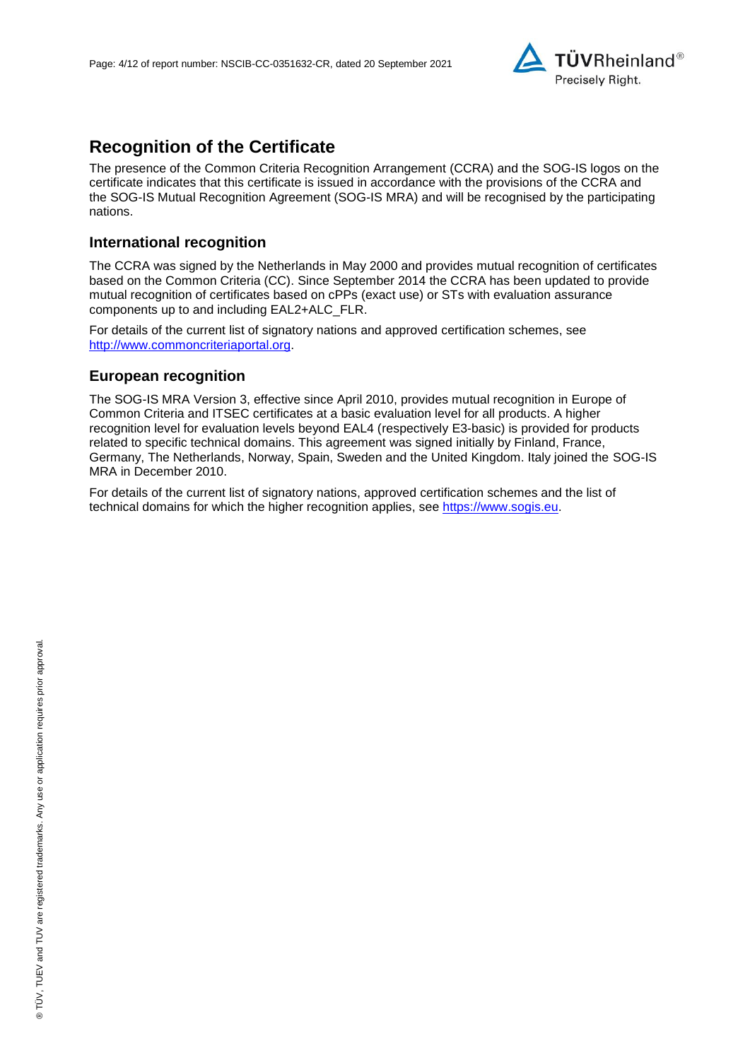

# **Recognition of the Certificate**

The presence of the Common Criteria Recognition Arrangement (CCRA) and the SOG-IS logos on the certificate indicates that this certificate is issued in accordance with the provisions of the CCRA and the SOG-IS Mutual Recognition Agreement (SOG-IS MRA) and will be recognised by the participating nations.

#### **International recognition**

The CCRA was signed by the Netherlands in May 2000 and provides mutual recognition of certificates based on the Common Criteria (CC). Since September 2014 the CCRA has been updated to provide mutual recognition of certificates based on cPPs (exact use) or STs with evaluation assurance components up to and including EAL2+ALC\_FLR.

For details of the current list of signatory nations and approved certification schemes, see [http://www.commoncriteriaportal.org.](http://www.commoncriteriaportal.org/)

#### **European recognition**

The SOG-IS MRA Version 3, effective since April 2010, provides mutual recognition in Europe of Common Criteria and ITSEC certificates at a basic evaluation level for all products. A higher recognition level for evaluation levels beyond EAL4 (respectively E3-basic) is provided for products related to specific technical domains. This agreement was signed initially by Finland, France, Germany, The Netherlands, Norway, Spain, Sweden and the United Kingdom. Italy joined the SOG-IS MRA in December 2010.

For details of the current list of signatory nations, approved certification schemes and the list of technical domains for which the higher recognition applies, see [https://www.sogis.eu.](https://www.sogis.eu/)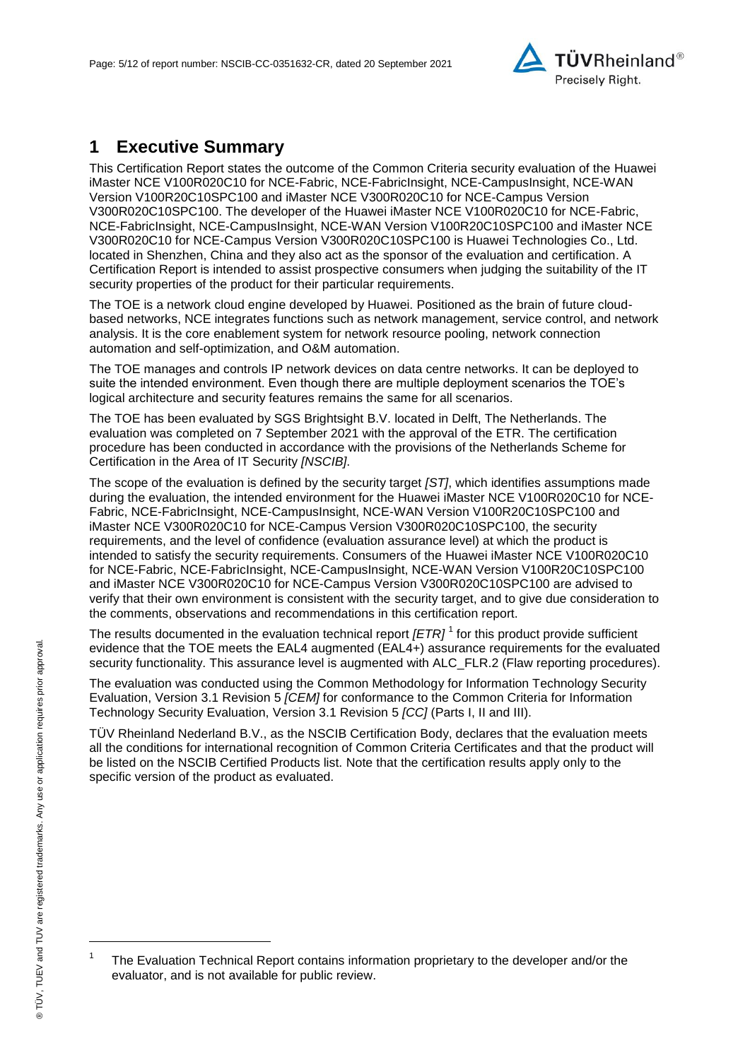

# **1 Executive Summary**

This Certification Report states the outcome of the Common Criteria security evaluation of the [Huawei](#page-0-3)  iMaster NCE V100R020C10 for NCE-Fabric, NCE-FabricInsight, NCE-CampusInsight, NCE-WAN [Version V100R20C10SPC100 and iMaster NCE V300R020C10 for NCE-Campus Version](#page-0-3)  [V300R020C10SPC100.](#page-0-3) The developer of the [Huawei iMaster NCE V100R020C10 for NCE-Fabric,](#page-0-3)  [NCE-FabricInsight, NCE-CampusInsight, NCE-WAN Version V100R20C10SPC100 and iMaster NCE](#page-0-3)  [V300R020C10 for NCE-Campus Version V300R020C10SPC100](#page-0-3) is [Huawei Technologies Co., Ltd.](#page-0-4) located in Shenzhen, China and they also act as the sponsor of the evaluation and certification. A Certification Report is intended to assist prospective consumers when judging the suitability of the IT security properties of the product for their particular requirements.

<span id="page-4-2"></span>The TOE is a network cloud engine developed by Huawei. Positioned as the brain of future cloudbased networks, NCE integrates functions such as network management, service control, and network analysis. It is the core enablement system for network resource pooling, network connection automation and self-optimization, and O&M automation.

The TOE manages and controls IP network devices on data centre networks. It can be deployed to suite the intended environment. Even though there are multiple deployment scenarios the TOE's logical architecture and security features remains the same for all scenarios.

The TOE has been evaluated by SGS Brightsight B.V. located in Delft, The Netherlands. The evaluation was completed on 7 September 2021 with the approval of the ETR. The certification procedure has been conducted in accordance with the provisions of the Netherlands Scheme for Certification in the Area of IT Security *[NSCIB]*.

The scope of the evaluation is defined by the security target *[ST]*, which identifies assumptions made during the evaluation, the intended environment for the [Huawei iMaster NCE V100R020C10 for NCE-](#page-0-3)[Fabric, NCE-FabricInsight, NCE-CampusInsight, NCE-WAN Version V100R20C10SPC100 and](#page-0-3)  [iMaster NCE V300R020C10 for NCE-Campus Version V300R020C10SPC100,](#page-0-3) the security requirements, and the level of confidence (evaluation assurance level) at which the product is intended to satisfy the security requirements. Consumers of the [Huawei iMaster NCE V100R020C10](#page-0-3)  [for NCE-Fabric, NCE-FabricInsight, NCE-CampusInsight, NCE-WAN Version V100R20C10SPC100](#page-0-3)  [and iMaster NCE V300R020C10 for NCE-Campus Version V300R020C10SPC100](#page-0-3) are advised to verify that their own environment is consistent with the security target, and to give due consideration to the comments, observations and recommendations in this certification report.

<span id="page-4-0"></span>The results documented in the evaluation technical report *[ETR]* <sup>1</sup> for this product provide sufficient evidence that the TOE meets the EAL4 augmented (EA[L4+](#page-4-0)) assurance requirements for the evaluated security functionality. This assurance level is augmented with ALC\_FLR.2 (Flaw reporting procedures).

<span id="page-4-1"></span>The evaluation was conducted using the Common Methodology for Information Technology Security Evaluation, Version 3.1 Revision 5 *[CEM]* for conformance to the Common Criteria for Information Technology Security Evaluation, Version 3.1 Revision [5](#page-4-1) *[CC]* (Parts I, II and III).

TÜV Rheinland Nederland B.V., as the NSCIB Certification Body, declares that the evaluation meets all the conditions for international recognition of Common Criteria Certificates and that the product will be listed on the NSCIB Certified Products list. Note that the certification results apply only to the specific version of the product as evaluated.

l

<sup>1</sup> The Evaluation Technical Report contains information proprietary to the developer and/or the evaluator, and is not available for public review.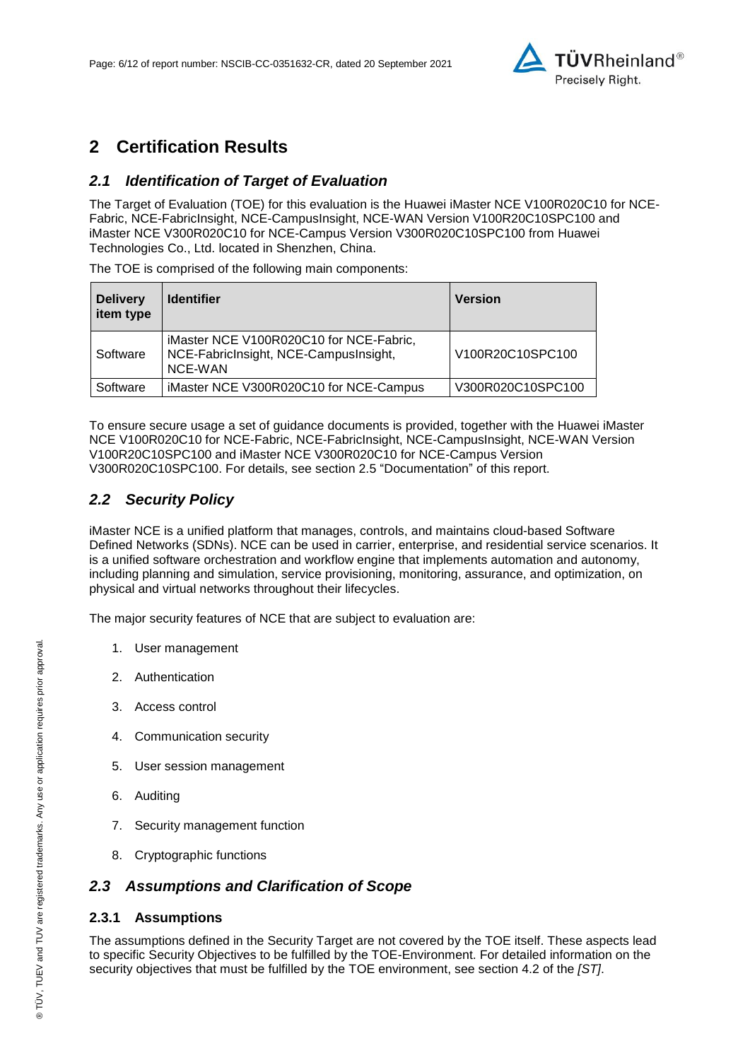

# **2 Certification Results**

## *2.1 Identification of Target of Evaluation*

The Target of Evaluation (TOE) for this evaluation is the [Huawei iMaster NCE V100R020C10 for NCE-](#page-0-3)[Fabric, NCE-FabricInsight, NCE-CampusInsight, NCE-WAN Version V100R20C10SPC100 and](#page-0-3)  [iMaster NCE V300R020C10 for NCE-Campus Version V300R020C10SPC100](#page-0-3) from [Huawei](#page-0-4)  [Technologies Co., Ltd.](#page-0-4) located in [Shenzhen, China.](#page-4-2)

The TOE is comprised of the following main components:

| <b>Delivery</b><br>item type | <b>Identifier</b>                                                                           | <b>Version</b>    |
|------------------------------|---------------------------------------------------------------------------------------------|-------------------|
| Software                     | iMaster NCE V100R020C10 for NCE-Fabric,<br>NCE-FabricInsight, NCE-CampusInsight,<br>NCE-WAN | V100R20C10SPC100  |
| Software                     | iMaster NCE V300R020C10 for NCE-Campus                                                      | V300R020C10SPC100 |

To ensure secure usage a set of guidance documents is provided, together with the [Huawei iMaster](#page-0-3)  [NCE V100R020C10 for NCE-Fabric, NCE-FabricInsight, NCE-CampusInsight, NCE-WAN Version](#page-0-3)  [V100R20C10SPC100 and iMaster NCE V300R020C10 for NCE-Campus Version](#page-0-3)  [V300R020C10SPC100.](#page-0-3) For details, see section [2.5](#page-7-0) ["Documentation"](#page-7-0) of this report.

## *2.2 Security Policy*

iMaster NCE is a unified platform that manages, controls, and maintains cloud-based Software Defined Networks (SDNs). NCE can be used in carrier, enterprise, and residential service scenarios. It is a unified software orchestration and workflow engine that implements automation and autonomy, including planning and simulation, service provisioning, monitoring, assurance, and optimization, on physical and virtual networks throughout their lifecycles.

The major security features of NCE that are subject to evaluation are:

- 1. User management
- 2. Authentication
- 3. Access control
- 4. Communication security
- 5. User session management
- 6. Auditing
- 7. Security management function
- 8. Cryptographic functions

## *2.3 Assumptions and Clarification of Scope*

#### **2.3.1 Assumptions**

The assumptions defined in the Security Target are not covered by the TOE itself. These aspects lead to specific Security Objectives to be fulfilled by the TOE-Environment. For detailed information on the security objectives that must be fulfilled by the TOE environment, see section 4.2 of the *[ST]*.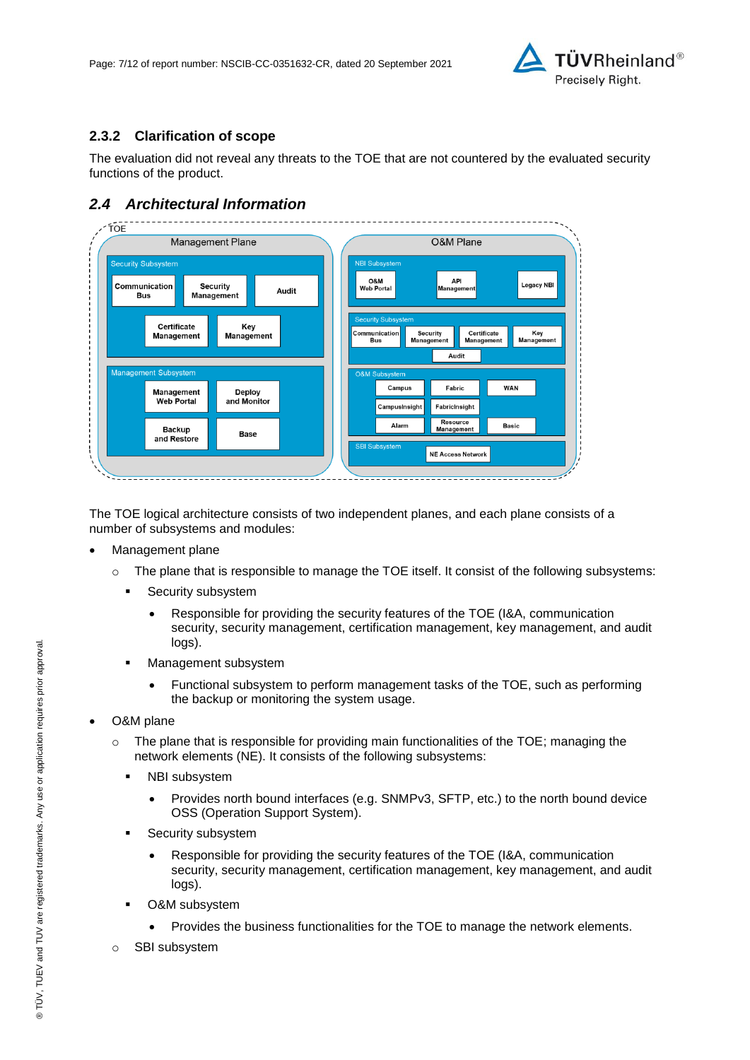

## **2.3.2 Clarification of scope**

The evaluation did not reveal any threats to the TOE that are not countered by the evaluated security functions of the product.

## *2.4 Architectural Information*



The TOE logical architecture consists of two independent planes, and each plane consists of a number of subsystems and modules:

- Management plane
	- o The plane that is responsible to manage the TOE itself. It consist of the following subsystems:
		- **Security subsystem** 
			- Responsible for providing the security features of the TOE (I&A, communication security, security management, certification management, key management, and audit logs).
		- **Management subsystem** 
			- Functional subsystem to perform management tasks of the TOE, such as performing the backup or monitoring the system usage.
- O&M plane
	- $\circ$  The plane that is responsible for providing main functionalities of the TOE; managing the network elements (NE). It consists of the following subsystems:
		- NBI subsystem
			- Provides north bound interfaces (e.g. SNMPv3, SFTP, etc.) to the north bound device OSS (Operation Support System).
		- Security subsystem
			- Responsible for providing the security features of the TOE (I&A, communication security, security management, certification management, key management, and audit logs).
		- O&M subsystem
			- Provides the business functionalities for the TOE to manage the network elements.
	- o SBI subsystem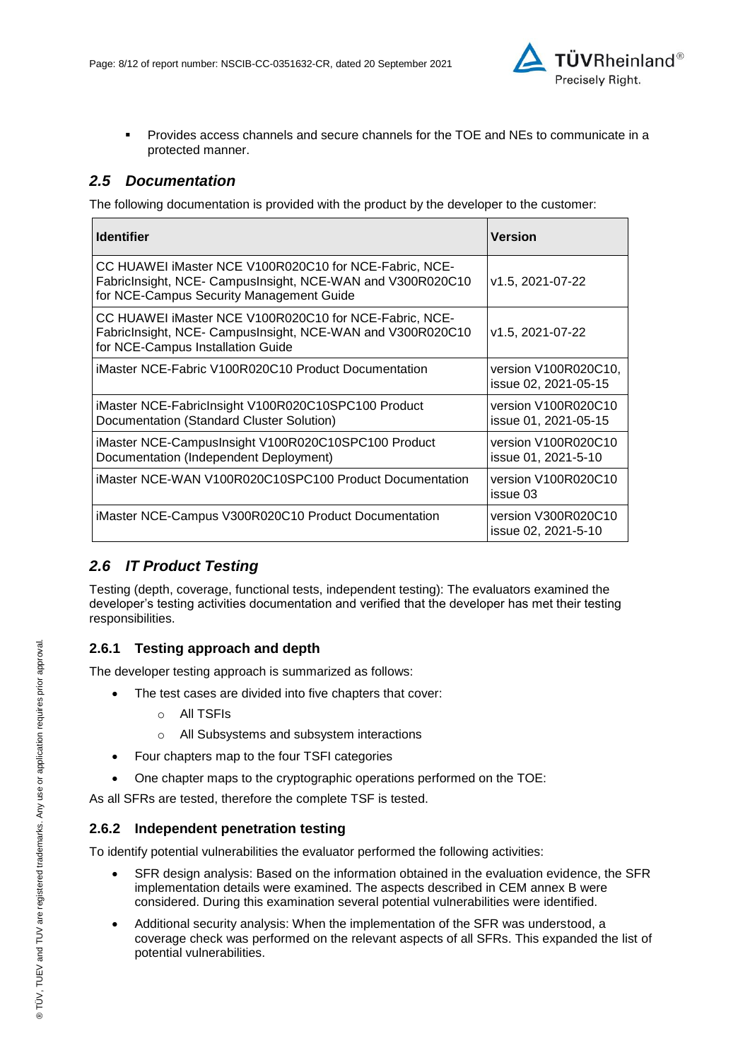

 Provides access channels and secure channels for the TOE and NEs to communicate in a protected manner.

## <span id="page-7-0"></span>*2.5 Documentation*

The following documentation is provided with the product by the developer to the customer:

| <b>Identifier</b>                                                                                                                                                | Version                                      |
|------------------------------------------------------------------------------------------------------------------------------------------------------------------|----------------------------------------------|
| CC HUAWEI iMaster NCE V100R020C10 for NCE-Fabric, NCE-<br>FabricInsight, NCE- CampusInsight, NCE-WAN and V300R020C10<br>for NCE-Campus Security Management Guide | v1.5, 2021-07-22                             |
| CC HUAWEI iMaster NCE V100R020C10 for NCE-Fabric, NCE-<br>FabricInsight, NCE- CampusInsight, NCE-WAN and V300R020C10<br>for NCE-Campus Installation Guide        | v1.5, 2021-07-22                             |
| iMaster NCE-Fabric V100R020C10 Product Documentation                                                                                                             | version V100R020C10,<br>issue 02, 2021-05-15 |
| iMaster NCE-FabricInsight V100R020C10SPC100 Product<br>Documentation (Standard Cluster Solution)                                                                 | version V100R020C10<br>issue 01, 2021-05-15  |
| iMaster NCE-CampusInsight V100R020C10SPC100 Product<br>Documentation (Independent Deployment)                                                                    | version V100R020C10<br>issue 01, 2021-5-10   |
| iMaster NCE-WAN V100R020C10SPC100 Product Documentation                                                                                                          | version V100R020C10<br>issue 03              |
| iMaster NCE-Campus V300R020C10 Product Documentation                                                                                                             | version V300R020C10<br>issue 02, 2021-5-10   |

## *2.6 IT Product Testing*

Testing (depth, coverage, functional tests, independent testing): The evaluators examined the developer's testing activities documentation and verified that the developer has met their testing responsibilities.

#### **2.6.1 Testing approach and depth**

The developer testing approach is summarized as follows:

- The test cases are divided into five chapters that cover:
	- o All TSFIs
	- o All Subsystems and subsystem interactions
- Four chapters map to the four TSFI categories
- One chapter maps to the cryptographic operations performed on the TOE:

As all SFRs are tested, therefore the complete TSF is tested.

#### **2.6.2 Independent penetration testing**

To identify potential vulnerabilities the evaluator performed the following activities:

- SFR design analysis: Based on the information obtained in the evaluation evidence, the SFR implementation details were examined. The aspects described in CEM annex B were considered. During this examination several potential vulnerabilities were identified.
- Additional security analysis: When the implementation of the SFR was understood, a coverage check was performed on the relevant aspects of all SFRs. This expanded the list of potential vulnerabilities.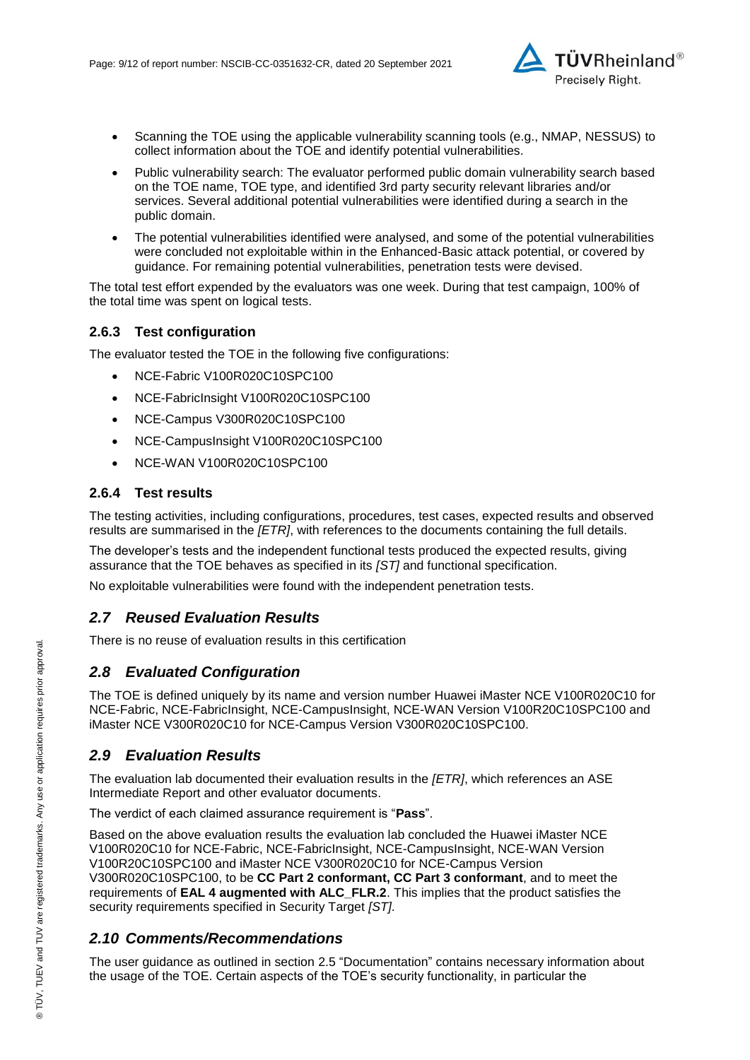

- Scanning the TOE using the applicable vulnerability scanning tools (e.g., NMAP, NESSUS) to collect information about the TOE and identify potential vulnerabilities.
- Public vulnerability search: The evaluator performed public domain vulnerability search based on the TOE name, TOE type, and identified 3rd party security relevant libraries and/or services. Several additional potential vulnerabilities were identified during a search in the public domain.
- The potential vulnerabilities identified were analysed, and some of the potential vulnerabilities were concluded not exploitable within in the Enhanced-Basic attack potential, or covered by guidance. For remaining potential vulnerabilities, penetration tests were devised.

The total test effort expended by the evaluators was one week. During that test campaign, 100% of the total time was spent on logical tests.

#### **2.6.3 Test configuration**

The evaluator tested the TOE in the following five configurations:

- NCE-Fabric V100R020C10SPC100
- NCE-FabricInsight V100R020C10SPC100
- NCE-Campus V300R020C10SPC100
- NCE-CampusInsight V100R020C10SPC100
- NCE-WAN V100R020C10SPC100

#### **2.6.4 Test results**

The testing activities, including configurations, procedures, test cases, expected results and observed results are summarised in the *[ETR]*, with references to the documents containing the full details.

The developer's tests and the independent functional tests produced the expected results, giving assurance that the TOE behaves as specified in its *[ST]* and functional specification.

No exploitable vulnerabilities were found with the independent penetration tests.

#### *2.7 Reused Evaluation Results*

There is no reuse of evaluation results in this certification

## *2.8 Evaluated Configuration*

The TOE is defined uniquely by its name and version number [Huawei iMaster NCE V100R020C10 for](#page-0-3)  [NCE-Fabric, NCE-FabricInsight, NCE-CampusInsight, NCE-WAN Version V100R20C10SPC100 and](#page-0-3)  [iMaster NCE V300R020C10 for NCE-Campus Version V300R020C10SPC100.](#page-0-3)

#### *2.9 Evaluation Results*

The evaluation lab documented their evaluation results in the *[ETR]*, which references an ASE Intermediate Report and other evaluator documents.

The verdict of each claimed assurance requirement is "**Pass**".

Based on the above evaluation results the evaluation lab concluded the [Huawei iMaster NCE](#page-0-3)  [V100R020C10 for NCE-Fabric, NCE-FabricInsight, NCE-CampusInsight, NCE-WAN Version](#page-0-3)  [V100R20C10SPC100 and iMaster NCE V300R020C10 for NCE-Campus Version](#page-0-3)  [V300R020C10SPC100,](#page-0-3) to be **CC Part 2 conformant, CC Part 3 conformant**, and to meet the requirements of **EAL [4](#page-4-0) augmented with ALC\_FLR.2**. This implies that the product satisfies the security requirements specified in Security Target *[ST]*.

## *2.10 Comments/Recommendations*

The user guidance as outlined in section [2.5](#page-7-0) ["Documentation"](#page-7-0) contains necessary information about the usage of the TOE. Certain aspects of the TOE's security functionality, in particular the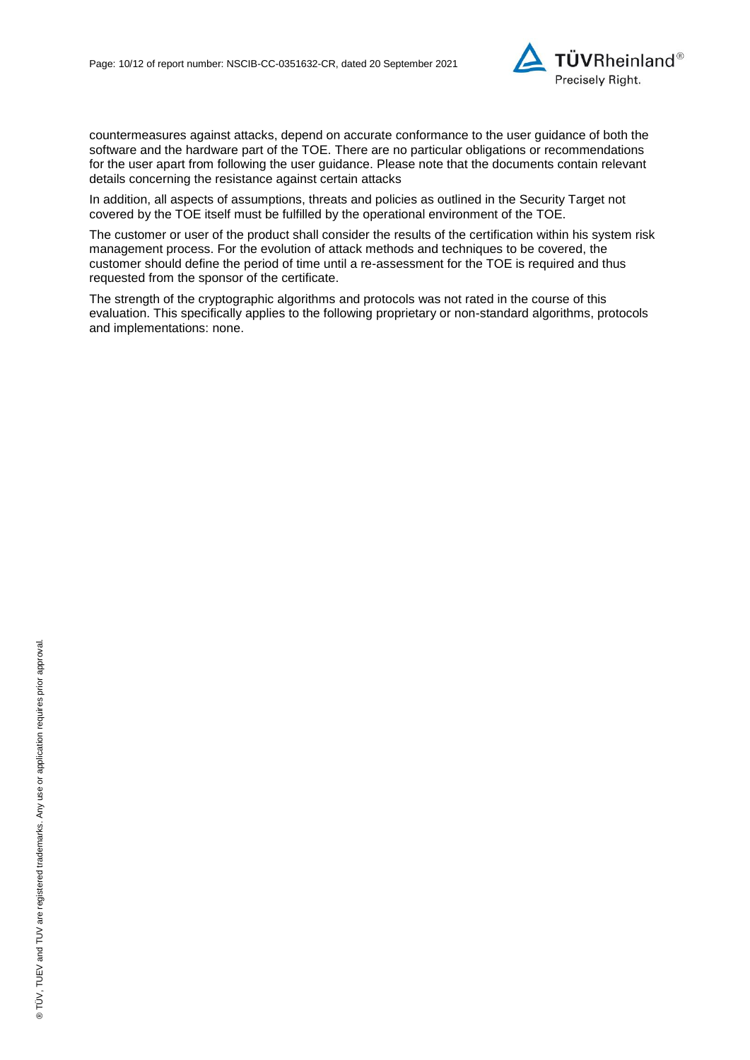

countermeasures against attacks, depend on accurate conformance to the user guidance of both the software and the hardware part of the TOE. There are no particular obligations or recommendations for the user apart from following the user guidance. Please note that the documents contain relevant details concerning the resistance against certain attacks

In addition, all aspects of assumptions, threats and policies as outlined in the Security Target not covered by the TOE itself must be fulfilled by the operational environment of the TOE.

The customer or user of the product shall consider the results of the certification within his system risk management process. For the evolution of attack methods and techniques to be covered, the customer should define the period of time until a re-assessment for the TOE is required and thus requested from the sponsor of the certificate.

The strength of the cryptographic algorithms and protocols was not rated in the course of this evaluation. This specifically applies to the following proprietary or non-standard algorithms, protocols and implementations: none.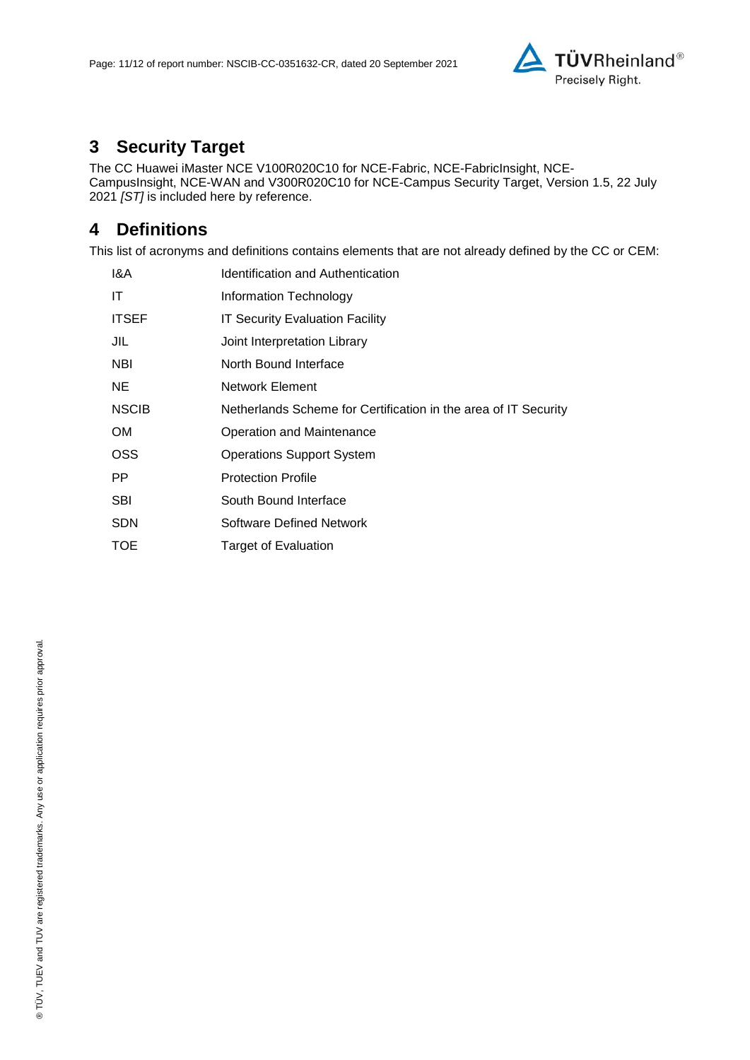

# **3 Security Target**

The [CC Huawei iMaster NCE V100R020C10 for NCE-Fabric, NCE-FabricInsight, NCE-](#page-11-0)[CampusInsight, NCE-WAN and V300R020C10 for NCE-Campus Security Target, Version 1.5, 22 July](#page-11-0)  [2021](#page-11-0) *[ST]* is included here by reference.

# **4 Definitions**

This list of acronyms and definitions contains elements that are not already defined by the CC or CEM:

| Identification and Authentication                               |
|-----------------------------------------------------------------|
| Information Technology                                          |
| <b>IT Security Evaluation Facility</b>                          |
| Joint Interpretation Library                                    |
| North Bound Interface                                           |
| Network Element                                                 |
| Netherlands Scheme for Certification in the area of IT Security |
| Operation and Maintenance                                       |
| <b>Operations Support System</b>                                |
| <b>Protection Profile</b>                                       |
| South Bound Interface                                           |
| Software Defined Network                                        |
| Target of Evaluation                                            |
|                                                                 |